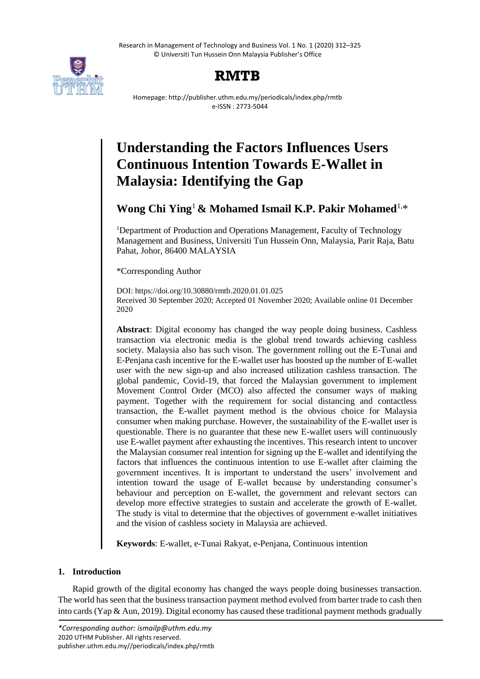Research in Management of Technology and Business Vol. 1 No. 1 (2020) 312–325 © Universiti Tun Hussein Onn Malaysia Publisher's Office



## **RMTB**

Homepage: http://publisher.uthm.edu.my/periodicals/index.php/rmtb e-ISSN : 2773-5044

# **Understanding the Factors Influences Users Continuous Intention Towards E-Wallet in Malaysia: Identifying the Gap**

**Wong Chi Ying**<sup>1</sup> **& Mohamed Ismail K.P. Pakir Mohamed**1,\*

<sup>1</sup>Department of Production and Operations Management, Faculty of Technology Management and Business, Universiti Tun Hussein Onn, Malaysia, Parit Raja, Batu Pahat, Johor, 86400 MALAYSIA

\*Corresponding Author

DOI: https://doi.org/10.30880/rmtb.2020.01.01.025 Received 30 September 2020; Accepted 01 November 2020; Available online 01 December 2020

**Abstract**: Digital economy has changed the way people doing business. Cashless transaction via electronic media is the global trend towards achieving cashless society. Malaysia also has such vison. The government rolling out the E-Tunai and E-Penjana cash incentive for the E-wallet user has boosted up the number of E-wallet user with the new sign-up and also increased utilization cashless transaction. The global pandemic, Covid-19, that forced the Malaysian government to implement Movement Control Order (MCO) also affected the consumer ways of making payment. Together with the requirement for social distancing and contactless transaction, the E-wallet payment method is the obvious choice for Malaysia consumer when making purchase. However, the sustainability of the E-wallet user is questionable. There is no guarantee that these new E-wallet users will continuously use E-wallet payment after exhausting the incentives. This research intent to uncover the Malaysian consumer real intention for signing up the E-wallet and identifying the factors that influences the continuous intention to use E-wallet after claiming the government incentives. It is important to understand the users' involvement and intention toward the usage of E-wallet because by understanding consumer's behaviour and perception on E-wallet, the government and relevant sectors can develop more effective strategies to sustain and accelerate the growth of E-wallet. The study is vital to determine that the objectives of government e-wallet initiatives and the vision of cashless society in Malaysia are achieved.

**Keywords**: E-wallet, e-Tunai Rakyat, e-Penjana, Continuous intention

## **1. Introduction**

Rapid growth of the digital economy has changed the ways people doing businesses transaction. The world has seen that the business transaction payment method evolved from barter trade to cash then into cards (Yap & Aun, 2019). Digital economy has caused these traditional payment methods gradually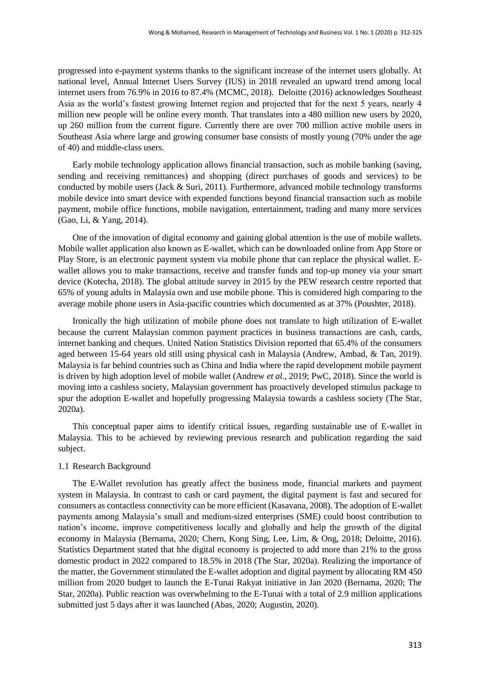progressed into e-payment systems thanks to the significant increase of the internet users globally. At national level, Annual Internet Users Survey (IUS) in 2018 revealed an upward trend among local internet users from 76.9% in 2016 to 87.4% (MCMC, 2018). Deloitte (2016) acknowledges Southeast Asia as the world's fastest growing Internet region and projected that for the next 5 years, nearly 4 million new people will be online every month. That translates into a 480 million new users by 2020, up 260 million from the current figure. Currently there are over 700 million active mobile users in Southeast Asia where large and growing consumer base consists of mostly young (70% under the age of 40) and middle-class users.

Early mobile technology application allows financial transaction, such as mobile banking (saving, sending and receiving remittances) and shopping (direct purchases of goods and services) to be conducted by mobile users (Jack  $\&$  Suri, 2011). Furthermore, advanced mobile technology transforms mobile device into smart device with expended functions beyond financial transaction such as mobile payment, mobile office functions, mobile navigation, entertainment, trading and many more services (Gao, Li, & Yang, 2014).

One of the innovation of digital economy and gaining global attention is the use of mobile wallets. Mobile wallet application also known as E-wallet, which can be downloaded online from App Store or Play Store, is an electronic payment system via mobile phone that can replace the physical wallet. Ewallet allows you to make transactions, receive and transfer funds and top-up money via your smart device (Kotecha, 2018). The global attitude survey in 2015 by the PEW research centre reported that 65% of young adults in Malaysia own and use mobile phone. This is considered high comparing to the average mobile phone users in Asia-pacific countries which documented as at 37% (Poushter, 2018).

Ironically the high utilization of mobile phone does not translate to high utilization of E-wallet because the current Malaysian common payment practices in business transactions are cash, cards, internet banking and cheques. United Nation Statistics Division reported that 65.4% of the consumers aged between 15-64 years old still using physical cash in Malaysia (Andrew, Ambad, & Tan, 2019). Malaysia is far behind countries such as China and India where the rapid development mobile payment is driven by high adoption level of mobile wallet (Andrew *et al.*, 2019; PwC, 2018). Since the world is moving into a cashless society, Malaysian government has proactively developed stimulus package to spur the adoption E-wallet and hopefully progressing Malaysia towards a cashless society (The Star, 2020a).

This conceptual paper aims to identify critical issues, regarding sustainable use of E-wallet in Malaysia. This to be achieved by reviewing previous research and publication regarding the said subject.

## 1.1 Research Background

The E-Wallet revolution has greatly affect the business mode, financial markets and payment system in Malaysia. In contrast to cash or card payment, the digital payment is fast and secured for consumers as contactless connectivity can be more efficient (Kasavana, 2008). The adoption of E-wallet payments among Malaysia's small and medium-sized enterprises (SME) could boost contribution to nation's income, improve competitiveness locally and globally and help the growth of the digital economy in Malaysia (Bernama, 2020; Chern, Kong Sing, Lee, Lim, & Ong, 2018; Deloitte, 2016). Statistics Department stated that hhe digital economy is projected to add more than 21% to the gross domestic product in 2022 compared to 18.5% in 2018 (The Star, 2020a). Realizing the importance of the matter, the Government stimulated the E-wallet adoption and digital payment by allocating RM 450 million from 2020 budget to launch the E-Tunai Rakyat initiative in Jan 2020 (Bernama, 2020; The Star, 2020a). Public reaction was overwhelming to the E-Tunai with a total of 2.9 million applications submitted just 5 days after it was launched (Abas, 2020; Augustin, 2020).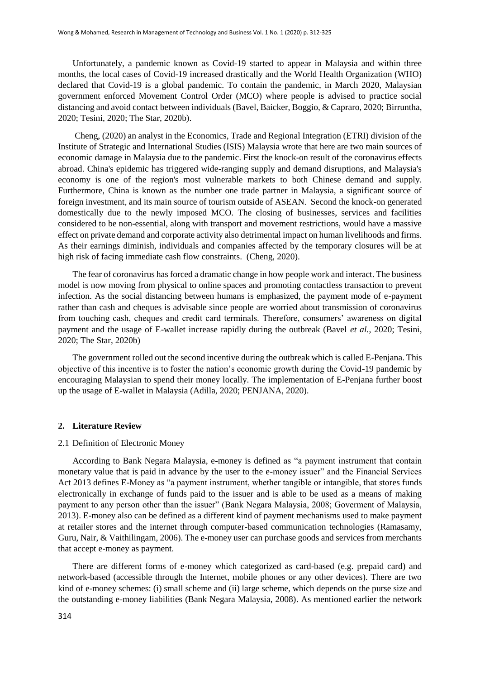Unfortunately, a pandemic known as Covid-19 started to appear in Malaysia and within three months, the local cases of Covid-19 increased drastically and the World Health Organization (WHO) declared that Covid-19 is a global pandemic. To contain the pandemic, in March 2020, Malaysian government enforced Movement Control Order (MCO) where people is advised to practice social distancing and avoid contact between individuals (Bavel, Baicker, Boggio, & Capraro, 2020; Birruntha, 2020; Tesini, 2020; The Star, 2020b).

Cheng, (2020) an analyst in the Economics, Trade and Regional Integration (ETRI) division of the Institute of Strategic and International Studies (ISIS) Malaysia wrote that here are two main sources of economic damage in Malaysia due to the pandemic. First the knock-on result of the coronavirus effects abroad. China's epidemic has triggered wide-ranging supply and demand disruptions, and Malaysia's economy is one of the region's most vulnerable markets to both Chinese demand and supply. Furthermore, China is known as the number one trade partner in Malaysia, a significant source of foreign investment, and its main source of tourism outside of ASEAN. Second the knock-on generated domestically due to the newly imposed MCO. The closing of businesses, services and facilities considered to be non-essential, along with transport and movement restrictions, would have a massive effect on private demand and corporate activity also detrimental impact on human livelihoods and firms. As their earnings diminish, individuals and companies affected by the temporary closures will be at high risk of facing immediate cash flow constraints. (Cheng, 2020).

The fear of coronavirus has forced a dramatic change in how people work and interact. The business model is now moving from physical to online spaces and promoting contactless transaction to prevent infection. As the social distancing between humans is emphasized, the payment mode of e-payment rather than cash and cheques is advisable since people are worried about transmission of coronavirus from touching cash, cheques and credit card terminals. Therefore, consumers' awareness on digital payment and the usage of E-wallet increase rapidly during the outbreak (Bavel *et al.*, 2020; Tesini, 2020; The Star, 2020b)

The government rolled out the second incentive during the outbreak which is called E-Penjana. This objective of this incentive is to foster the nation's economic growth during the Covid-19 pandemic by encouraging Malaysian to spend their money locally. The implementation of E-Penjana further boost up the usage of E-wallet in Malaysia (Adilla, 2020; PENJANA, 2020).

## **2. Literature Review**

#### 2.1 Definition of Electronic Money

According to Bank Negara Malaysia, e-money is defined as "a payment instrument that contain monetary value that is paid in advance by the user to the e-money issuer" and the Financial Services Act 2013 defines E-Money as "a payment instrument, whether tangible or intangible, that stores funds electronically in exchange of funds paid to the issuer and is able to be used as a means of making payment to any person other than the issuer" (Bank Negara Malaysia, 2008; Goverment of Malaysia, 2013). E-money also can be defined as a different kind of payment mechanisms used to make payment at retailer stores and the internet through computer-based communication technologies (Ramasamy, Guru, Nair, & Vaithilingam, 2006). The e-money user can purchase goods and services from merchants that accept e-money as payment.

There are different forms of e-money which categorized as card-based (e.g. prepaid card) and network-based (accessible through the Internet, mobile phones or any other devices). There are two kind of e-money schemes: (i) small scheme and (ii) large scheme, which depends on the purse size and the outstanding e-money liabilities (Bank Negara Malaysia, 2008). As mentioned earlier the network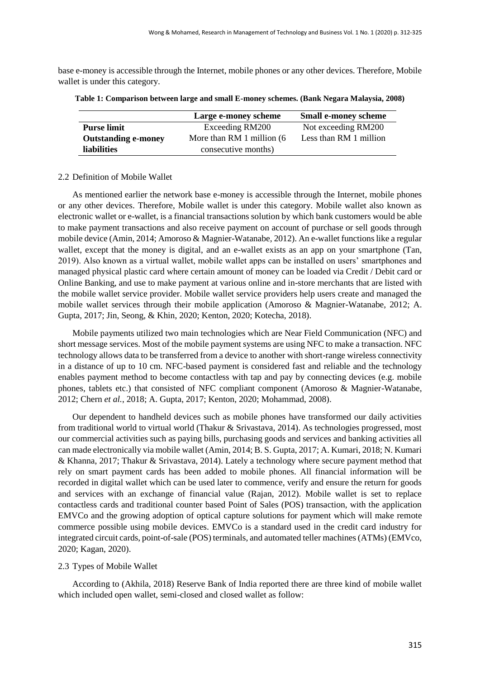base e-money is accessible through the Internet, mobile phones or any other devices. Therefore, Mobile wallet is under this category.

|                            | Large e-money scheme       | <b>Small e-money scheme</b> |
|----------------------------|----------------------------|-----------------------------|
| <b>Purse limit</b>         | Exceeding RM200            | Not exceeding RM200         |
| <b>Outstanding e-money</b> | More than RM 1 million (6) | Less than RM 1 million      |
| <b>liabilities</b>         | consecutive months)        |                             |

**Table 1: Comparison between large and small E-money schemes. (Bank Negara Malaysia, 2008)**

## 2.2 Definition of Mobile Wallet

As mentioned earlier the network base e-money is accessible through the Internet, mobile phones or any other devices. Therefore, Mobile wallet is under this category. Mobile wallet also known as electronic wallet or e-wallet, is a financial transactions solution by which bank customers would be able to make payment transactions and also receive payment on account of purchase or sell goods through mobile device (Amin, 2014; Amoroso & Magnier-Watanabe, 2012). An e-wallet functions like a regular wallet, except that the money is digital, and an e-wallet exists as an app on your smartphone (Tan, 2019). Also known as a virtual wallet, mobile wallet apps can be installed on users' smartphones and managed physical plastic card where certain amount of money can be loaded via Credit / Debit card or Online Banking, and use to make payment at various online and in-store merchants that are listed with the mobile wallet service provider. Mobile wallet service providers help users create and managed the mobile wallet services through their mobile application (Amoroso & Magnier-Watanabe, 2012; A. Gupta, 2017; Jin, Seong, & Khin, 2020; Kenton, 2020; Kotecha, 2018).

Mobile payments utilized two main technologies which are Near Field Communication (NFC) and short message services. Most of the mobile payment systems are using NFC to make a transaction. NFC technology allows data to be transferred from a device to another with short-range wireless connectivity in a distance of up to 10 cm. NFC-based payment is considered fast and reliable and the technology enables payment method to become contactless with tap and pay by connecting devices (e.g. mobile phones, tablets etc.) that consisted of NFC compliant component (Amoroso & Magnier-Watanabe, 2012; Chern *et al.*, 2018; A. Gupta, 2017; Kenton, 2020; Mohammad, 2008).

Our dependent to handheld devices such as mobile phones have transformed our daily activities from traditional world to virtual world (Thakur & Srivastava, 2014). As technologies progressed, most our commercial activities such as paying bills, purchasing goods and services and banking activities all can made electronically via mobile wallet (Amin, 2014; B. S. Gupta, 2017; A. Kumari, 2018; N. Kumari & Khanna, 2017; Thakur & Srivastava, 2014). Lately a technology where secure payment method that rely on smart payment cards has been added to mobile phones. All financial information will be recorded in digital wallet which can be used later to commence, verify and ensure the return for goods and services with an exchange of financial value (Rajan, 2012). Mobile wallet is set to replace contactless cards and traditional counter based Point of Sales (POS) transaction, with the application EMVCo and the growing adoption of optical capture solutions for payment which will make remote commerce possible using mobile devices. EMVCo is a standard used in the credit card industry for integrated circuit cards, point-of-sale (POS) terminals, and automated teller machines (ATMs) (EMVco, 2020; Kagan, 2020).

## 2.3 Types of Mobile Wallet

According to (Akhila, 2018) Reserve Bank of India reported there are three kind of mobile wallet which included open wallet, semi-closed and closed wallet as follow: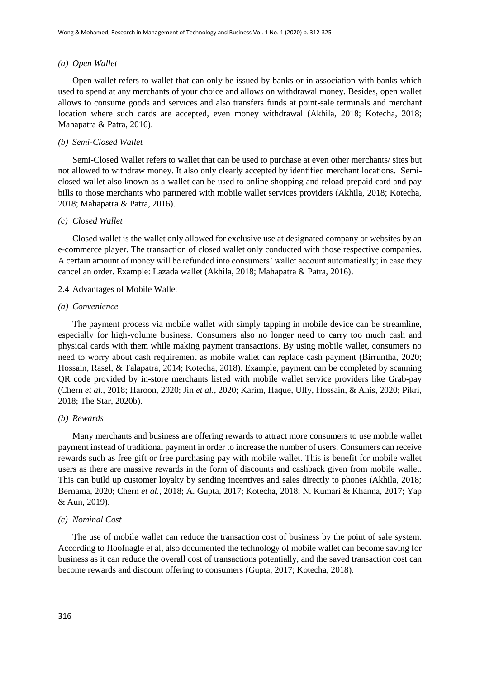#### *(a) Open Wallet*

Open wallet refers to wallet that can only be issued by banks or in association with banks which used to spend at any merchants of your choice and allows on withdrawal money. Besides, open wallet allows to consume goods and services and also transfers funds at point-sale terminals and merchant location where such cards are accepted, even money withdrawal (Akhila, 2018; Kotecha, 2018; Mahapatra & Patra, 2016).

#### *(b) Semi-Closed Wallet*

Semi-Closed Wallet refers to wallet that can be used to purchase at even other merchants/ sites but not allowed to withdraw money. It also only clearly accepted by identified merchant locations. Semiclosed wallet also known as a wallet can be used to online shopping and reload prepaid card and pay bills to those merchants who partnered with mobile wallet services providers (Akhila, 2018; Kotecha, 2018; Mahapatra & Patra, 2016).

#### *(c) Closed Wallet*

Closed wallet is the wallet only allowed for exclusive use at designated company or websites by an e-commerce player. The transaction of closed wallet only conducted with those respective companies. A certain amount of money will be refunded into consumers' wallet account automatically; in case they cancel an order. Example: Lazada wallet (Akhila, 2018; Mahapatra & Patra, 2016).

#### 2.4 Advantages of Mobile Wallet

#### *(a) Convenience*

The payment process via mobile wallet with simply tapping in mobile device can be streamline, especially for high-volume business. Consumers also no longer need to carry too much cash and physical cards with them while making payment transactions. By using mobile wallet, consumers no need to worry about cash requirement as mobile wallet can replace cash payment (Birruntha, 2020; Hossain, Rasel, & Talapatra, 2014; Kotecha, 2018). Example, payment can be completed by scanning QR code provided by in-store merchants listed with mobile wallet service providers like Grab-pay (Chern *et al.*, 2018; Haroon, 2020; Jin *et al.*, 2020; Karim, Haque, Ulfy, Hossain, & Anis, 2020; Pikri, 2018; The Star, 2020b).

## *(b) Rewards*

Many merchants and business are offering rewards to attract more consumers to use mobile wallet payment instead of traditional payment in order to increase the number of users. Consumers can receive rewards such as free gift or free purchasing pay with mobile wallet. This is benefit for mobile wallet users as there are massive rewards in the form of discounts and cashback given from mobile wallet. This can build up customer loyalty by sending incentives and sales directly to phones (Akhila, 2018; Bernama, 2020; Chern *et al.*, 2018; A. Gupta, 2017; Kotecha, 2018; N. Kumari & Khanna, 2017; Yap & Aun, 2019).

#### *(c) Nominal Cost*

The use of mobile wallet can reduce the transaction cost of business by the point of sale system. According to Hoofnagle et al, also documented the technology of mobile wallet can become saving for business as it can reduce the overall cost of transactions potentially, and the saved transaction cost can become rewards and discount offering to consumers (Gupta, 2017; Kotecha, 2018).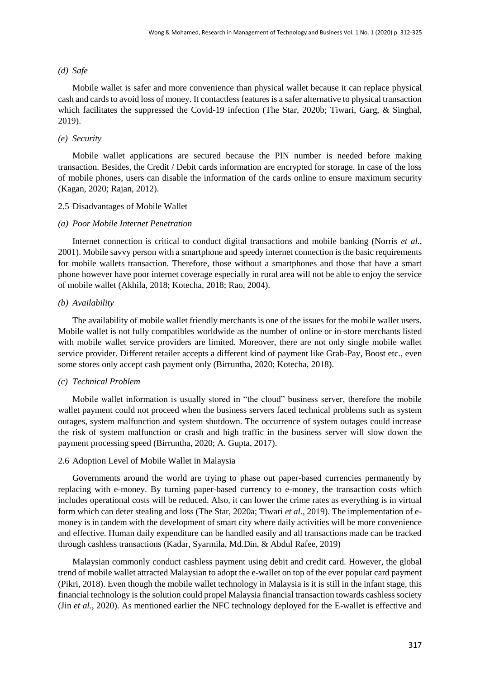## *(d) Safe*

Mobile wallet is safer and more convenience than physical wallet because it can replace physical cash and cards to avoid loss of money. It contactless features is a safer alternative to physical transaction which facilitates the suppressed the Covid-19 infection (The Star, 2020b; Tiwari, Garg, & Singhal, 2019).

## *(e) Security*

Mobile wallet applications are secured because the PIN number is needed before making transaction. Besides, the Credit / Debit cards information are encrypted for storage. In case of the loss of mobile phones, users can disable the information of the cards online to ensure maximum security (Kagan, 2020; Rajan, 2012).

## 2.5 Disadvantages of Mobile Wallet

## *(a) Poor Mobile Internet Penetration*

Internet connection is critical to conduct digital transactions and mobile banking (Norris *et al.*, 2001). Mobile savvy person with a smartphone and speedy internet connection is the basic requirements for mobile wallets transaction. Therefore, those without a smartphones and those that have a smart phone however have poor internet coverage especially in rural area will not be able to enjoy the service of mobile wallet (Akhila, 2018; Kotecha, 2018; Rao, 2004).

## *(b) Availability*

The availability of mobile wallet friendly merchants is one of the issues for the mobile wallet users. Mobile wallet is not fully compatibles worldwide as the number of online or in-store merchants listed with mobile wallet service providers are limited. Moreover, there are not only single mobile wallet service provider. Different retailer accepts a different kind of payment like Grab-Pay, Boost etc., even some stores only accept cash payment only (Birruntha, 2020; Kotecha, 2018).

## *(c) Technical Problem*

Mobile wallet information is usually stored in "the cloud" business server, therefore the mobile wallet payment could not proceed when the business servers faced technical problems such as system outages, system malfunction and system shutdown. The occurrence of system outages could increase the risk of system malfunction or crash and high traffic in the business server will slow down the payment processing speed (Birruntha, 2020; A. Gupta, 2017).

## 2.6 Adoption Level of Mobile Wallet in Malaysia

Governments around the world are trying to phase out paper-based currencies permanently by replacing with e-money. By turning paper-based currency to e-money, the transaction costs which includes operational costs will be reduced. Also, it can lower the crime rates as everything is in virtual form which can deter stealing and loss (The Star, 2020a; Tiwari *et al.*, 2019). The implementation of emoney is in tandem with the development of smart city where daily activities will be more convenience and effective. Human daily expenditure can be handled easily and all transactions made can be tracked through cashless transactions (Kadar, Syarmila, Md.Din, & Abdul Rafee, 2019)

Malaysian commonly conduct cashless payment using debit and credit card. However, the global trend of mobile wallet attracted Malaysian to adopt the e-wallet on top of the ever popular card payment (Pikri, 2018). Even though the mobile wallet technology in Malaysia is it is still in the infant stage, this financial technology is the solution could propel Malaysia financial transaction towards cashless society (Jin *et al.*, 2020). As mentioned earlier the NFC technology deployed for the E-wallet is effective and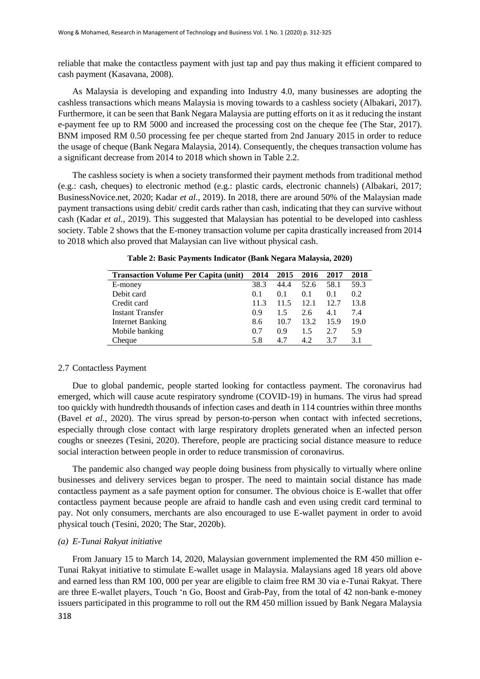reliable that make the contactless payment with just tap and pay thus making it efficient compared to cash payment (Kasavana, 2008).

As Malaysia is developing and expanding into Industry 4.0, many businesses are adopting the cashless transactions which means Malaysia is moving towards to a cashless society (Albakari, 2017). Furthermore, it can be seen that Bank Negara Malaysia are putting efforts on it as it reducing the instant e-payment fee up to RM 5000 and increased the processing cost on the cheque fee (The Star, 2017). BNM imposed RM 0.50 processing fee per cheque started from 2nd January 2015 in order to reduce the usage of cheque (Bank Negara Malaysia, 2014). Consequently, the cheques transaction volume has a significant decrease from 2014 to 2018 which shown in Table 2.2.

The cashless society is when a society transformed their payment methods from traditional method (e.g.: cash, cheques) to electronic method (e.g.: plastic cards, electronic channels) (Albakari, 2017; BusinessNovice.net, 2020; Kadar *et al.*, 2019). In 2018, there are around 50% of the Malaysian made payment transactions using debit/ credit cards rather than cash, indicating that they can survive without cash (Kadar *et al.*, 2019). This suggested that Malaysian has potential to be developed into cashless society. Table 2 shows that the E-money transaction volume per capita drastically increased from 2014 to 2018 which also proved that Malaysian can live without physical cash.

| <b>Transaction Volume Per Capita (unit)</b> |      | 2015 | 2016 | 2017 | 2018 |
|---------------------------------------------|------|------|------|------|------|
| E-money                                     | 38.3 | 44.4 | 52.6 | 58.1 | 59.3 |
| Debit card                                  | 0.1  | 0.1  | 0.1  | 0.1  | 0.2  |
| Credit card                                 | 11.3 | 11.5 | 12.1 | 12.7 | 13.8 |
| <b>Instant Transfer</b>                     | 0.9  | 1.5  | 2.6  | 4.1  | 7.4  |
| <b>Internet Banking</b>                     | 8.6  | 10.7 | 13.2 | 15.9 | 19.0 |
| Mobile banking                              | 0.7  | 0.9  | 1.5  | 2.7  | 5.9  |
| Cheaue                                      | 5.8  | 47   | 4.2  | 37   | 3.1  |

**Table 2: Basic Payments Indicator (Bank Negara Malaysia, 2020)**

## 2.7 Contactless Payment

Due to global pandemic, people started looking for contactless payment. The coronavirus had emerged, which will cause acute respiratory syndrome (COVID-19) in humans. The virus had spread too quickly with hundredth thousands of infection cases and death in 114 countries within three months (Bavel *et al.*, 2020). The virus spread by person-to-person when contact with infected secretions, especially through close contact with large respiratory droplets generated when an infected person coughs or sneezes (Tesini, 2020). Therefore, people are practicing social distance measure to reduce social interaction between people in order to reduce transmission of coronavirus.

The pandemic also changed way people doing business from physically to virtually where online businesses and delivery services began to prosper. The need to maintain social distance has made contactless payment as a safe payment option for consumer. The obvious choice is E-wallet that offer contactless payment because people are afraid to handle cash and even using credit card terminal to pay. Not only consumers, merchants are also encouraged to use E-wallet payment in order to avoid physical touch (Tesini, 2020; The Star, 2020b).

## *(a) E-Tunai Rakyat initiative*

From January 15 to March 14, 2020, Malaysian government implemented the RM 450 million e-Tunai Rakyat initiative to stimulate E-wallet usage in Malaysia. Malaysians aged 18 years old above and earned less than RM 100, 000 per year are eligible to claim free RM 30 via e-Tunai Rakyat. There are three E-wallet players, Touch 'n Go, Boost and Grab-Pay, from the total of 42 non-bank e-money issuers participated in this programme to roll out the RM 450 million issued by Bank Negara Malaysia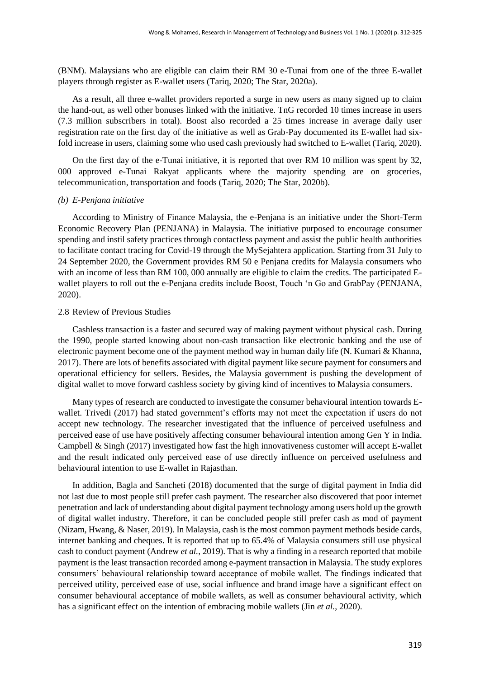(BNM). Malaysians who are eligible can claim their RM 30 e-Tunai from one of the three E-wallet players through register as E-wallet users (Tariq, 2020; The Star, 2020a).

As a result, all three e-wallet providers reported a surge in new users as many signed up to claim the hand-out, as well other bonuses linked with the initiative. TnG recorded 10 times increase in users (7.3 million subscribers in total). Boost also recorded a 25 times increase in average daily user registration rate on the first day of the initiative as well as Grab-Pay documented its E-wallet had sixfold increase in users, claiming some who used cash previously had switched to E-wallet (Tariq, 2020).

On the first day of the e-Tunai initiative, it is reported that over RM 10 million was spent by 32, 000 approved e-Tunai Rakyat applicants where the majority spending are on groceries, telecommunication, transportation and foods (Tariq, 2020; The Star, 2020b).

## *(b) E-Penjana initiative*

According to Ministry of Finance Malaysia, the e-Penjana is an initiative under the Short-Term Economic Recovery Plan (PENJANA) in Malaysia. The initiative purposed to encourage consumer spending and instil safety practices through contactless payment and assist the public health authorities to facilitate contact tracing for Covid-19 through the MySejahtera application. Starting from 31 July to 24 September 2020, the Government provides RM 50 e Penjana credits for Malaysia consumers who with an income of less than RM 100, 000 annually are eligible to claim the credits. The participated Ewallet players to roll out the e-Penjana credits include Boost, Touch 'n Go and GrabPay (PENJANA, 2020).

### 2.8 Review of Previous Studies

Cashless transaction is a faster and secured way of making payment without physical cash. During the 1990, people started knowing about non-cash transaction like electronic banking and the use of electronic payment become one of the payment method way in human daily life (N. Kumari & Khanna, 2017). There are lots of benefits associated with digital payment like secure payment for consumers and operational efficiency for sellers. Besides, the Malaysia government is pushing the development of digital wallet to move forward cashless society by giving kind of incentives to Malaysia consumers.

Many types of research are conducted to investigate the consumer behavioural intention towards Ewallet. Trivedi (2017) had stated government's efforts may not meet the expectation if users do not accept new technology. The researcher investigated that the influence of perceived usefulness and perceived ease of use have positively affecting consumer behavioural intention among Gen Y in India. Campbell & Singh (2017) investigated how fast the high innovativeness customer will accept E-wallet and the result indicated only perceived ease of use directly influence on perceived usefulness and behavioural intention to use E-wallet in Rajasthan.

In addition, Bagla and Sancheti (2018) documented that the surge of digital payment in India did not last due to most people still prefer cash payment. The researcher also discovered that poor internet penetration and lack of understanding about digital payment technology among users hold up the growth of digital wallet industry. Therefore, it can be concluded people still prefer cash as mod of payment (Nizam, Hwang, & Naser, 2019). In Malaysia, cash is the most common payment methods beside cards, internet banking and cheques. It is reported that up to 65.4% of Malaysia consumers still use physical cash to conduct payment (Andrew *et al.*, 2019). That is why a finding in a research reported that mobile payment is the least transaction recorded among e-payment transaction in Malaysia. The study explores consumers' behavioural relationship toward acceptance of mobile wallet. The findings indicated that perceived utility, perceived ease of use, social influence and brand image have a significant effect on consumer behavioural acceptance of mobile wallets, as well as consumer behavioural activity, which has a significant effect on the intention of embracing mobile wallets (Jin *et al.*, 2020).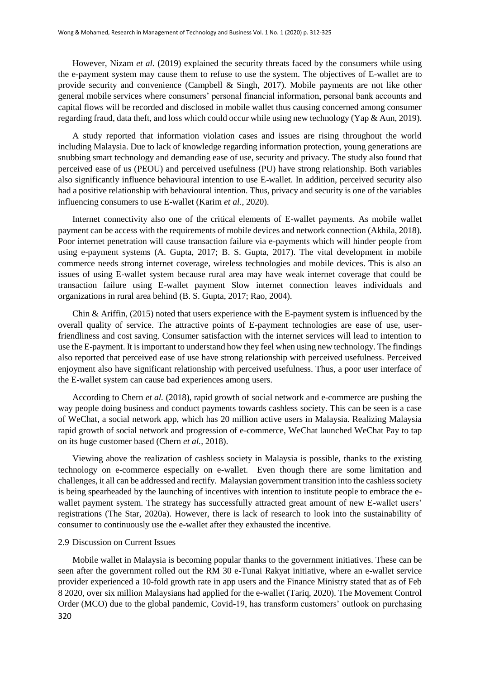However, Nizam *et al.* (2019) explained the security threats faced by the consumers while using the e-payment system may cause them to refuse to use the system. The objectives of E-wallet are to provide security and convenience (Campbell & Singh, 2017). Mobile payments are not like other general mobile services where consumers' personal financial information, personal bank accounts and capital flows will be recorded and disclosed in mobile wallet thus causing concerned among consumer regarding fraud, data theft, and loss which could occur while using new technology (Yap & Aun, 2019).

A study reported that information violation cases and issues are rising throughout the world including Malaysia. Due to lack of knowledge regarding information protection, young generations are snubbing smart technology and demanding ease of use, security and privacy. The study also found that perceived ease of us (PEOU) and perceived usefulness (PU) have strong relationship. Both variables also significantly influence behavioural intention to use E-wallet. In addition, perceived security also had a positive relationship with behavioural intention. Thus, privacy and security is one of the variables influencing consumers to use E-wallet (Karim *et al.*, 2020).

Internet connectivity also one of the critical elements of E-wallet payments. As mobile wallet payment can be access with the requirements of mobile devices and network connection (Akhila, 2018). Poor internet penetration will cause transaction failure via e-payments which will hinder people from using e-payment systems (A. Gupta, 2017; B. S. Gupta, 2017). The vital development in mobile commerce needs strong internet coverage, wireless technologies and mobile devices. This is also an issues of using E-wallet system because rural area may have weak internet coverage that could be transaction failure using E-wallet payment Slow internet connection leaves individuals and organizations in rural area behind (B. S. Gupta, 2017; Rao, 2004).

Chin & Ariffin, (2015) noted that users experience with the E-payment system is influenced by the overall quality of service. The attractive points of E-payment technologies are ease of use, userfriendliness and cost saving. Consumer satisfaction with the internet services will lead to intention to use the E-payment. It is important to understand how they feel when using new technology. The findings also reported that perceived ease of use have strong relationship with perceived usefulness. Perceived enjoyment also have significant relationship with perceived usefulness. Thus, a poor user interface of the E-wallet system can cause bad experiences among users.

According to Chern *et al.* (2018), rapid growth of social network and e-commerce are pushing the way people doing business and conduct payments towards cashless society. This can be seen is a case of WeChat, a social network app, which has 20 million active users in Malaysia. Realizing Malaysia rapid growth of social network and progression of e-commerce, WeChat launched WeChat Pay to tap on its huge customer based (Chern *et al.*, 2018).

Viewing above the realization of cashless society in Malaysia is possible, thanks to the existing technology on e-commerce especially on e-wallet. Even though there are some limitation and challenges, it all can be addressed and rectify. Malaysian government transition into the cashless society is being spearheaded by the launching of incentives with intention to institute people to embrace the ewallet payment system. The strategy has successfully attracted great amount of new E-wallet users' registrations (The Star, 2020a). However, there is lack of research to look into the sustainability of consumer to continuously use the e-wallet after they exhausted the incentive.

## 2.9 Discussion on Current Issues

320 Mobile wallet in Malaysia is becoming popular thanks to the government initiatives. These can be seen after the government rolled out the RM 30 e-Tunai Rakyat initiative, where an e-wallet service provider experienced a 10-fold growth rate in app users and the Finance Ministry stated that as of Feb 8 2020, over six million Malaysians had applied for the e-wallet (Tariq, 2020). The Movement Control Order (MCO) due to the global pandemic, Covid-19, has transform customers' outlook on purchasing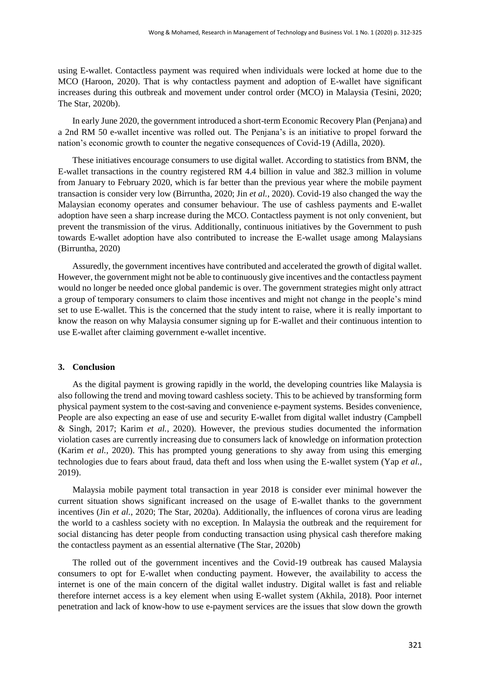using E-wallet. Contactless payment was required when individuals were locked at home due to the MCO (Haroon, 2020). That is why contactless payment and adoption of E-wallet have significant increases during this outbreak and movement under control order (MCO) in Malaysia (Tesini, 2020; The Star, 2020b).

In early June 2020, the government introduced a short-term Economic Recovery Plan (Penjana) and a 2nd RM 50 e-wallet incentive was rolled out. The Penjana's is an initiative to propel forward the nation's economic growth to counter the negative consequences of Covid-19 (Adilla, 2020).

These initiatives encourage consumers to use digital wallet. According to statistics from BNM, the E-wallet transactions in the country registered RM 4.4 billion in value and 382.3 million in volume from January to February 2020, which is far better than the previous year where the mobile payment transaction is consider very low (Birruntha, 2020; Jin *et al.*, 2020). Covid-19 also changed the way the Malaysian economy operates and consumer behaviour. The use of cashless payments and E-wallet adoption have seen a sharp increase during the MCO. Contactless payment is not only convenient, but prevent the transmission of the virus. Additionally, continuous initiatives by the Government to push towards E-wallet adoption have also contributed to increase the E-wallet usage among Malaysians (Birruntha, 2020)

Assuredly, the government incentives have contributed and accelerated the growth of digital wallet. However, the government might not be able to continuously give incentives and the contactless payment would no longer be needed once global pandemic is over. The government strategies might only attract a group of temporary consumers to claim those incentives and might not change in the people's mind set to use E-wallet. This is the concerned that the study intent to raise, where it is really important to know the reason on why Malaysia consumer signing up for E-wallet and their continuous intention to use E-wallet after claiming government e-wallet incentive.

## **3. Conclusion**

As the digital payment is growing rapidly in the world, the developing countries like Malaysia is also following the trend and moving toward cashless society. This to be achieved by transforming form physical payment system to the cost-saving and convenience e-payment systems. Besides convenience, People are also expecting an ease of use and security E-wallet from digital wallet industry (Campbell & Singh, 2017; Karim *et al.*, 2020). However, the previous studies documented the information violation cases are currently increasing due to consumers lack of knowledge on information protection (Karim *et al.*, 2020). This has prompted young generations to shy away from using this emerging technologies due to fears about fraud, data theft and loss when using the E-wallet system (Yap *et al.*, 2019).

Malaysia mobile payment total transaction in year 2018 is consider ever minimal however the current situation shows significant increased on the usage of E-wallet thanks to the government incentives (Jin *et al.*, 2020; The Star, 2020a). Additionally, the influences of corona virus are leading the world to a cashless society with no exception. In Malaysia the outbreak and the requirement for social distancing has deter people from conducting transaction using physical cash therefore making the contactless payment as an essential alternative (The Star, 2020b)

The rolled out of the government incentives and the Covid-19 outbreak has caused Malaysia consumers to opt for E-wallet when conducting payment. However, the availability to access the internet is one of the main concern of the digital wallet industry. Digital wallet is fast and reliable therefore internet access is a key element when using E-wallet system (Akhila, 2018). Poor internet penetration and lack of know-how to use e-payment services are the issues that slow down the growth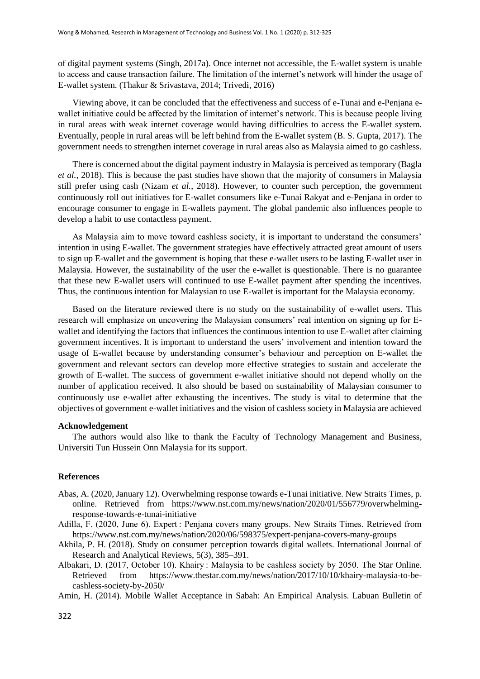of digital payment systems (Singh, 2017a). Once internet not accessible, the E-wallet system is unable to access and cause transaction failure. The limitation of the internet's network will hinder the usage of E-wallet system. (Thakur & Srivastava, 2014; Trivedi, 2016)

Viewing above, it can be concluded that the effectiveness and success of e-Tunai and e-Penjana ewallet initiative could be affected by the limitation of internet's network. This is because people living in rural areas with weak internet coverage would having difficulties to access the E-wallet system. Eventually, people in rural areas will be left behind from the E-wallet system (B. S. Gupta, 2017). The government needs to strengthen internet coverage in rural areas also as Malaysia aimed to go cashless.

There is concerned about the digital payment industry in Malaysia is perceived as temporary (Bagla *et al.*, 2018). This is because the past studies have shown that the majority of consumers in Malaysia still prefer using cash (Nizam *et al.*, 2018). However, to counter such perception, the government continuously roll out initiatives for E-wallet consumers like e-Tunai Rakyat and e-Penjana in order to encourage consumer to engage in E-wallets payment. The global pandemic also influences people to develop a habit to use contactless payment.

As Malaysia aim to move toward cashless society, it is important to understand the consumers' intention in using E-wallet. The government strategies have effectively attracted great amount of users to sign up E-wallet and the government is hoping that these e-wallet users to be lasting E-wallet user in Malaysia. However, the sustainability of the user the e-wallet is questionable. There is no guarantee that these new E-wallet users will continued to use E-wallet payment after spending the incentives. Thus, the continuous intention for Malaysian to use E-wallet is important for the Malaysia economy.

Based on the literature reviewed there is no study on the sustainability of e-wallet users. This research will emphasize on uncovering the Malaysian consumers' real intention on signing up for Ewallet and identifying the factors that influences the continuous intention to use E-wallet after claiming government incentives. It is important to understand the users' involvement and intention toward the usage of E-wallet because by understanding consumer's behaviour and perception on E-wallet the government and relevant sectors can develop more effective strategies to sustain and accelerate the growth of E-wallet. The success of government e-wallet initiative should not depend wholly on the number of application received. It also should be based on sustainability of Malaysian consumer to continuously use e-wallet after exhausting the incentives. The study is vital to determine that the objectives of government e-wallet initiatives and the vision of cashless society in Malaysia are achieved

## **Acknowledgement**

The authors would also like to thank the Faculty of Technology Management and Business, Universiti Tun Hussein Onn Malaysia for its support.

## **References**

- Abas, A. (2020, January 12). Overwhelming response towards e-Tunai initiative. New Straits Times, p. online. Retrieved from https://www.nst.com.my/news/nation/2020/01/556779/overwhelmingresponse-towards-e-tunai-initiative
- Adilla, F. (2020, June 6). Expert : Penjana covers many groups. New Straits Times. Retrieved from https://www.nst.com.my/news/nation/2020/06/598375/expert-penjana-covers-many-groups
- Akhila, P. H. (2018). Study on consumer perception towards digital wallets. International Journal of Research and Analytical Reviews, 5(3), 385–391.
- Albakari, D. (2017, October 10). Khairy : Malaysia to be cashless society by 2050. The Star Online. Retrieved from https://www.thestar.com.my/news/nation/2017/10/10/khairy-malaysia-to-becashless-society-by-2050/

Amin, H. (2014). Mobile Wallet Acceptance in Sabah: An Empirical Analysis. Labuan Bulletin of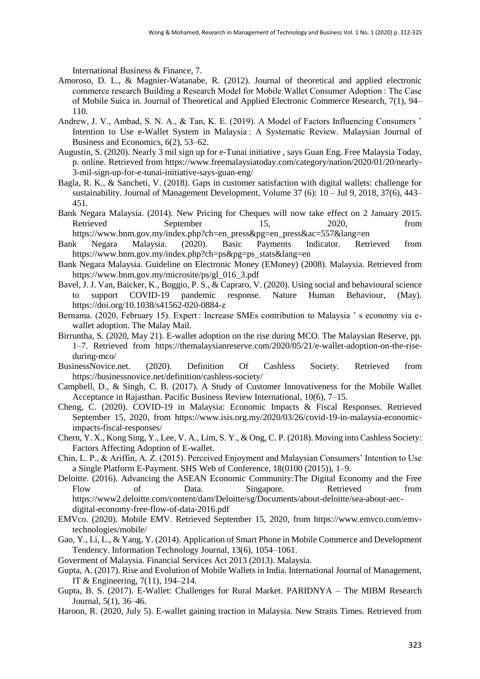International Business & Finance, 7.

- Amoroso, D. L., & Magnier-Watanabe, R. (2012). Journal of theoretical and applied electronic commerce research Building a Research Model for Mobile Wallet Consumer Adoption : The Case of Mobile Suica in. Journal of Theoretical and Applied Electronic Commerce Research, 7(1), 94– 110.
- Andrew, J. V., Ambad, S. N. A., & Tan, K. E. (2019). A Model of Factors Influencing Consumers ' Intention to Use e-Wallet System in Malaysia : A Systematic Review. Malaysian Journal of Business and Economics, 6(2), 53–62.
- Augustin, S. (2020). Nearly 3 mil sign up for e-Tunai initiative , says Guan Eng. Free Malaysia Today, p. online. Retrieved from https://www.freemalaysiatoday.com/category/nation/2020/01/20/nearly-3-mil-sign-up-for-e-tunai-initiative-says-guan-eng/
- Bagla, R. K., & Sancheti, V. (2018). Gaps in customer satisfaction with digital wallets: challenge for sustainability. Journal of Management Development, Volume 37 (6): 10 – Jul 9, 2018, 37(6), 443– 451.
- Bank Negara Malaysia. (2014). New Pricing for Cheques will now take effect on 2 January 2015. Retrieved September 15, 2020, from https://www.bnm.gov.my/index.php?ch=en\_press&pg=en\_press&ac=557&lang=en
- Bank Negara Malaysia. (2020). Basic Payments Indicator. Retrieved from https://www.bnm.gov.my/index.php?ch=ps&pg=ps\_stats&lang=en
- Bank Negara Malaysia. Guideline on Electronic Money (EMoney) (2008). Malaysia. Retrieved from https://www.bnm.gov.my/microsite/ps/gl\_016\_3.pdf
- Bavel, J. J. Van, Baicker, K., Boggio, P. S., & Capraro, V. (2020). Using social and behavioural science to support COVID-19 pandemic response. Nature Human Behaviour, (May). https://doi.org/10.1038/s41562-020-0884-z
- Bernama. (2020, February 15). Expert : Increase SMEs contribution to Malaysia 's economy via ewallet adoption. The Malay Mail.
- Birruntha, S. (2020, May 21). E-wallet adoption on the rise during MCO. The Malaysian Reserve, pp. 1–7. Retrieved from https://themalaysianreserve.com/2020/05/21/e-wallet-adoption-on-the-riseduring-mco/
- BusinessNovice.net. (2020). Definition Of Cashless Society. Retrieved from https://businessnovice.net/definition/cashless-society/
- Campbell, D., & Singh, C. B. (2017). A Study of Customer Innovativeness for the Mobile Wallet Acceptance in Rajasthan. Pacific Business Review International, 10(6), 7–15.
- Cheng, C. (2020). COVID-19 in Malaysia: Economic Impacts & Fiscal Responses. Retrieved September 15, 2020, from https://www.isis.org.my/2020/03/26/covid-19-in-malaysia-economicimpacts-fiscal-responses/
- Chern, Y. X., Kong Sing, Y., Lee, V. A., Lim, S. Y., & Ong, C. P. (2018). Moving into Cashless Society: Factors Affecting Adoption of E-wallet.
- Chin, L. P., & Ariffin, A. Z. (2015). Perceived Enjoyment and Malaysian Consumers' Intention to Use a Single Platform E-Payment. SHS Web of Conference, 18(0100 (2015)), 1–9.
- Deloitte. (2016). Advancing the ASEAN Economic Community:The Digital Economy and the Free Flow of Data. Singapore. Retrieved from https://www2.deloitte.com/content/dam/Deloitte/sg/Documents/about-deloitte/sea-about-aecdigital-economy-free-flow-of-data-2016.pdf
- EMVco. (2020). Mobile EMV. Retrieved September 15, 2020, from https://www.emvco.com/emvtechnologies/mobile/
- Gao, Y., Li, L., & Yang, Y. (2014). Application of Smart Phone in Mobile Commerce and Development Tendency. Information Technology Journal, 13(6), 1054–1061.
- Goverment of Malaysia. Financial Services Act 2013 (2013). Malaysia.
- Gupta, A. (2017). Rise and Evolution of Mobile Wallets in India. International Journal of Management, IT & Engineering, 7(11), 194–214.
- Gupta, B. S. (2017). E-Wallet: Challenges for Rural Market. PARIDNYA The MIBM Research Journal, 5(1), 36–46.
- Haroon, R. (2020, July 5). E-wallet gaining traction in Malaysia. New Straits Times. Retrieved from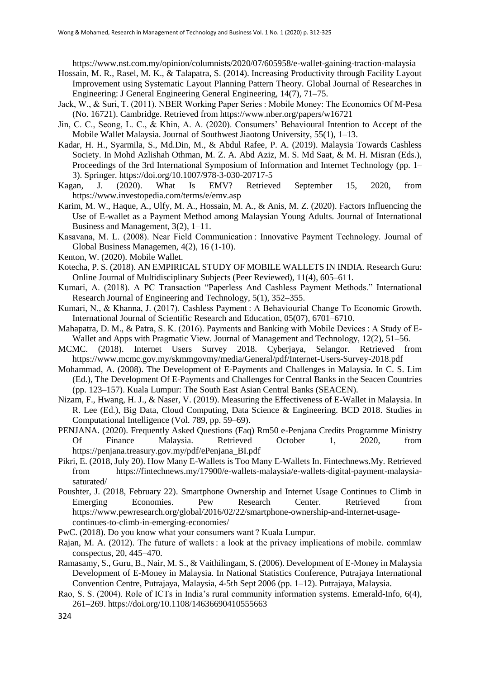https://www.nst.com.my/opinion/columnists/2020/07/605958/e-wallet-gaining-traction-malaysia

- Hossain, M. R., Rasel, M. K., & Talapatra, S. (2014). Increasing Productivity through Facility Layout Improvement using Systematic Layout Planning Pattern Theory. Global Journal of Researches in Engineering: J General Engineering General Engineering, 14(7), 71–75.
- Jack, W., & Suri, T. (2011). NBER Working Paper Series : Mobile Money: The Economics Of M-Pesa (No. 16721). Cambridge. Retrieved from https://www.nber.org/papers/w16721
- Jin, C. C., Seong, L. C., & Khin, A. A. (2020). Consumers' Behavioural Intention to Accept of the Mobile Wallet Malaysia. Journal of Southwest Jiaotong University, 55(1), 1–13.
- Kadar, H. H., Syarmila, S., Md.Din, M., & Abdul Rafee, P. A. (2019). Malaysia Towards Cashless Society. In Mohd Azlishah Othman, M. Z. A. Abd Aziz, M. S. Md Saat, & M. H. Misran (Eds.), Proceedings of the 3rd International Symposium of Information and Internet Technology (pp. 1– 3). Springer. https://doi.org/10.1007/978-3-030-20717-5
- Kagan, J. (2020). What Is EMV? Retrieved September 15, 2020, from https://www.investopedia.com/terms/e/emv.asp
- Karim, M. W., Haque, A., Ulfy, M. A., Hossain, M. A., & Anis, M. Z. (2020). Factors Influencing the Use of E-wallet as a Payment Method among Malaysian Young Adults. Journal of International Business and Management, 3(2), 1–11.
- Kasavana, M. L. (2008). Near Field Communication : Innovative Payment Technology. Journal of Global Business Managemen, 4(2), 16 (1-10).
- Kenton, W. (2020). Mobile Wallet.
- Kotecha, P. S. (2018). AN EMPIRICAL STUDY OF MOBILE WALLETS IN INDIA. Research Guru: Online Journal of Multidisciplinary Subjects (Peer Reviewed), 11(4), 605–611.
- Kumari, A. (2018). A PC Transaction "Paperless And Cashless Payment Methods." International Research Journal of Engineering and Technology, 5(1), 352–355.
- Kumari, N., & Khanna, J. (2017). Cashless Payment : A Behaviourial Change To Economic Growth. International Journal of Scientific Research and Education, 05(07), 6701–6710.
- Mahapatra, D. M., & Patra, S. K. (2016). Payments and Banking with Mobile Devices : A Study of E-Wallet and Apps with Pragmatic View. Journal of Management and Technology, 12(2), 51–56.
- MCMC. (2018). Internet Users Survey 2018. Cyberjaya, Selangor. Retrieved from https://www.mcmc.gov.my/skmmgovmy/media/General/pdf/Internet-Users-Survey-2018.pdf
- Mohammad, A. (2008). The Development of E-Payments and Challenges in Malaysia. In C. S. Lim (Ed.), The Development Of E-Payments and Challenges for Central Banks in the Seacen Countries (pp. 123–157). Kuala Lumpur: The South East Asian Central Banks (SEACEN).
- Nizam, F., Hwang, H. J., & Naser, V. (2019). Measuring the Effectiveness of E-Wallet in Malaysia. In R. Lee (Ed.), Big Data, Cloud Computing, Data Science & Engineering. BCD 2018. Studies in Computational Intelligence (Vol. 789, pp. 59–69).
- PENJANA. (2020). Frequently Asked Questions (Faq) Rm50 e-Penjana Credits Programme Ministry Of Finance Malaysia. Retrieved October 1, 2020, from https://penjana.treasury.gov.my/pdf/ePenjana\_BI.pdf
- Pikri, E. (2018, July 20). How Many E-Wallets is Too Many E-Wallets In. Fintechnews.My. Retrieved from https://fintechnews.my/17900/e-wallets-malaysia/e-wallets-digital-payment-malaysiasaturated/
- Poushter, J. (2018, February 22). Smartphone Ownership and Internet Usage Continues to Climb in Emerging Economies. Pew Research Center. Retrieved from https://www.pewresearch.org/global/2016/02/22/smartphone-ownership-and-internet-usagecontinues-to-climb-in-emerging-economies/
- PwC. (2018). Do you know what your consumers want ? Kuala Lumpur.
- Rajan, M. A. (2012). The future of wallets : a look at the privacy implications of mobile. commlaw conspectus, 20, 445–470.
- Ramasamy, S., Guru, B., Nair, M. S., & Vaithilingam, S. (2006). Development of E-Money in Malaysia Development of E-Money in Malaysia. In National Statistics Conference, Putrajaya International Convention Centre, Putrajaya, Malaysia, 4-5th Sept 2006 (pp. 1–12). Putrajaya, Malaysia.
- Rao, S. S. (2004). Role of ICTs in India's rural community information systems. Emerald-Info, 6(4), 261–269. https://doi.org/10.1108/14636690410555663